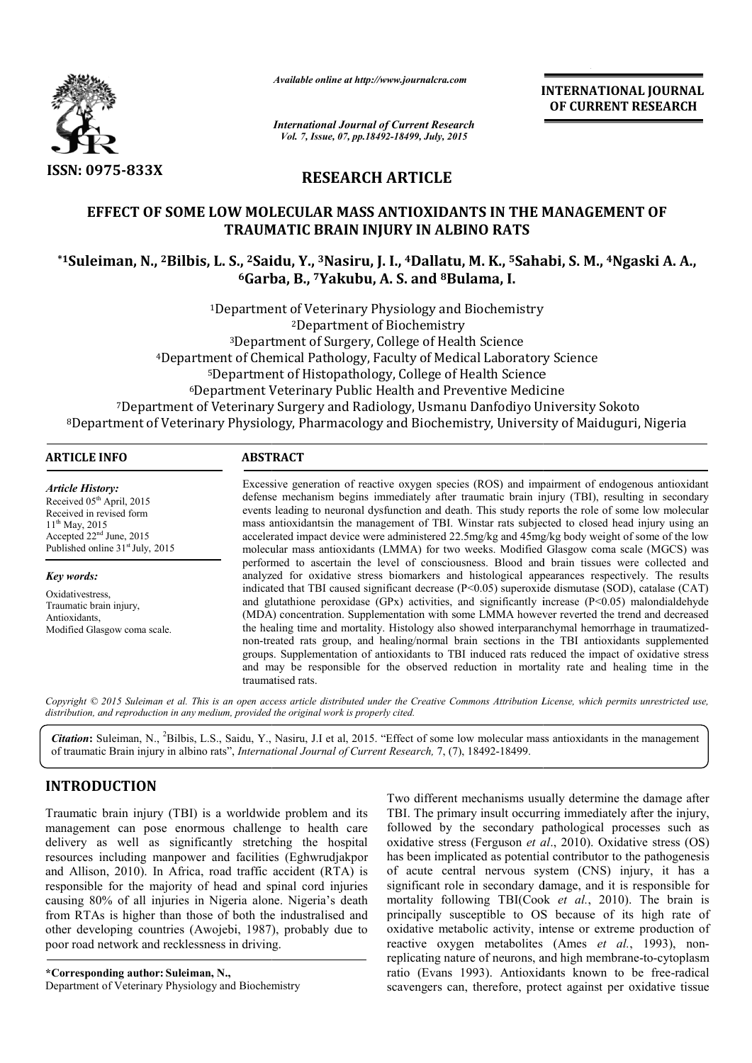

*Available online at http://www.journalcra.com*

**INTERNATIONAL INTERNATIONAL JOURNAL OF CURRENT RESEARCH** 

*International Journal of Current Research Vol. 7, Issue, 07, pp.18492-18499, July, 2015*

# **RESEARCH ARTICLE**

## **EFFECT OF SOME LOW MOLECULAR MASS ANTIOXIDANTS IN THE MANAGEMENT OF TRAUMATIC BRAIN INJURY IN ALBINO RATS**

# \*1Suleiman, N., <sup>2</sup>Bilbis, L. S., <sup>2</sup>Saidu, Y., <sup>3</sup>Nasiru, J. I., <sup>4</sup>Dallatu, M. K., <sup>5</sup>Sahabi, S. M., <sup>4</sup>Ngaski A. A., **6Garba, B., Garba, 7Yakubu, A. S. and 8Bulama, I.**

1Department of Veterinary Physiology and Biochemistry Department 2Department of Biochemistry Department 3Department of Surgery, College of Health Science 4Department of Chemical Pathology, Faculty of Medical Laboratory Science 5Department of Histopathology, College of Health Science <sup>3</sup>Department of Surgery, College of Health Science<br>Department of Chemical Pathology, Faculty of Medical Laboratory Sc<br><sup>5</sup>Department of Histopathology, College of Health Science<br><sup>6</sup>Department Veterinary Public Health and P <sup>7</sup>Department of Veterinary Surgery and Radiology, Usmanu Danfodiyo University Sokoto 8Department of Veterinary Physiology, Pharmacology and Biochemistry, University of Maiduguri, Nigeria Department Department of Chemical Pathology, Faculty of Medical Laboratory Science<br>
<sup>5</sup>Department of Histopathology, College of Health Science<br>
<sup>6</sup>Department Veterinary Public Health and Preventive Medicine<br>
ment of Veterinary Surger

### **ARTICLE INFO ABSTRACT**

*Article History:* Received 05<sup>th</sup> April, 2015 Received in revised form 11<sup>th</sup> May, 2015 Accepted 22nd June, 2015 Published online 31<sup>st</sup> July, 2015

*Key words:*

Oxidativestress, Traumatic brain injury, Antioxidants, Modified Glasgow coma scale.

#### Excessive generation of reactive oxygen species (ROS) and impairment of endogenous antioxidant defense mechanism begins immediately after traumatic brain injury (TBI), resulting in secondary events leading to neuronal dysfunction and death. This study reports the role of some low molecular mass antioxidantsin the management of TBI. Winstar rats subjected to closed head injury using an accelerated impact device were administered 22.5mg/kg and 45mg/kg body weight of some of the low molecular mass antioxidants (LMMA) for two weeks. Modified Glasgow coma scale (MGCS) was performed to ascertain the level of consciousness. Blood and brain tissues were collected and analyzed for oxidative stress biomarkers and histological appearances respectively. The results indicated that TBI caused significant decrease  $(P< 0.05)$  superoxide dismutase (SOD), catalase (CAT) indicated that TBI caused significant decrease ( $P<0.05$ ) superoxide dismutase (SOD), catalase (CAT) and glutathione peroxidase (GPx) activities, and significantly increase ( $P<0.05$ ) malondialdehyde (MDA) concentration. Supplementation with some LMMA however reve reverted the trend and decreased the healing time and mortality. Histology also showed interparanchymal hemorrhage in traumatizednon-treated rats group, and healing/normal brain sections in the TBI antioxidants supplemented non-treated rats group, and healing/normal brain sections in the TBI antioxidants supplemented<br>groups. Supplementation of antioxidants to TBI induced rats reduced the impact of oxidative stress<br>and may be responsible for t and may be responsible for the observed reduction in mortality rate and healing time in the traumatised rats. re generation of reactive oxygen species (ROS) and impairment of endogenous antioxidant mechanism begins immediately after traumatic brain injury (TBI), resulting in secondary adding to neuronal dysfunction and death. This oxidantsin the management of TBI. Winstar rats subjected to closed head injury using an d impact device were administered 22.5mg/kg and 45mg/kg body weight of some of the low mass antioxidants (LMMA) for two weeks. Modifie

Copyright © 2015 Suleiman et al. This is an open access article distributed under the Creative Commons Attribution License, which permits unrestricted use, *distribution, and reproduction in any medium, provided the original work is properly cited.*

**Citation:** Suleiman, N., <sup>2</sup>Bilbis, L.S., Saidu, Y., Nasiru, J.I et al, 2015. "Effect of some low molecular mass antioxidants in the management of traumatic Brain injury in albino rats", *International Journal of Current Research,* 7, (7), 18492-18499.

## **INTRODUCTION**

Traumatic brain injury (TBI) is a worldwide problem and its management can pose enormous challenge to health care delivery as well as significantly stretching the hospital resources including manpower and facilities (Eghwrudjakpor and Allison, 2010). In Africa, road traffic accident (RTA) is responsible for the majority of head and spinal cord injuries causing 80% of all injuries in Nigeria alone. Nigeria's death from RTAs is higher than those of both the industralised and and Allison, 2010). In Africa, road traffic accident (RTA) is<br>responsible for the majority of head and spinal cord injuries<br>causing 80% of all injuries in Nigeria alone. Nigeria's death<br>from RTAs is higher than those of bo poor road network and recklessness in driving.

**\*Corresponding author: Suleiman, N.,**  Department of Veterinary Physiology and Biochemistry Two different mechanisms usually determine the damage after TBI. The primary insult occurring immediately after the injury, followed by the secondary pathological processes such as oxidative stress (Ferguson *et al.*, 2010). Oxidative stress (OS) has been implicated as potential contributor to the pathogenesis has been implicated as potential contributor to the pathogenesis<br>of acute central nervous system (CNS) injury, it has a significant role in secondary damage, and it is responsible for mortality following TBI(Cook *et al.*, 2010). The brain is principally susceptible to OS because of its high rate of oxidative metabolic activity, intense or extreme production of reactive oxygen metabolites (Ames et al., 1993), nonreplicating nature of neurons, and high membrane-to-cytoplasm ratio (Evans 1993). Antioxidants known to be free-radical scavengers can, therefore, protect against per oxidative tissue insult occurring immediately after the injury, secondary pathological processes such as  $\text{Ferguson}$  *et al.*, 2010). Oxidative stress (OS) principally susceptible to OS because of its high rate of oxidative metabolic activity, intense or extreme production of reactive oxygen metabolites (Ames *et al.*, 1993), non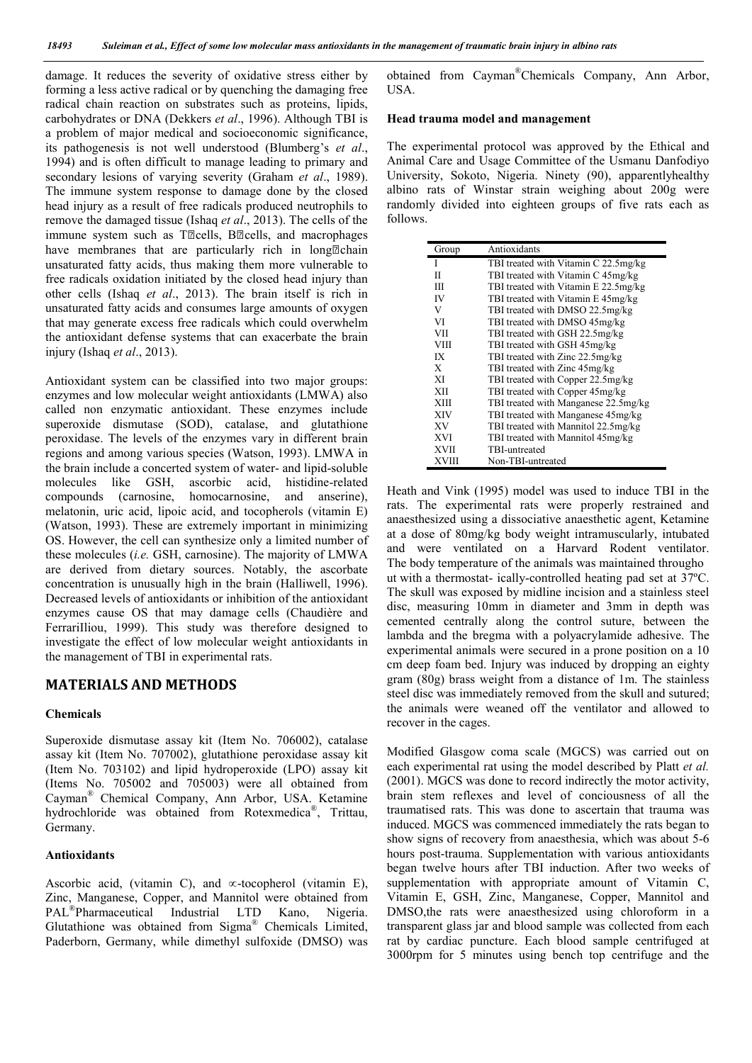damage. It reduces the severity of oxidative stress either by forming a less active radical or by quenching the damaging free radical chain reaction on substrates such as proteins, lipids, carbohydrates or DNA (Dekkers *et al*., 1996). Although TBI is a problem of major medical and socioeconomic significance, its pathogenesis is not well understood (Blumberg's *et al*., 1994) and is often difficult to manage leading to primary and secondary lesions of varying severity (Graham *et al*., 1989). The immune system response to damage done by the closed head injury as a result of free radicals produced neutrophils to remove the damaged tissue (Ishaq *et al*., 2013). The cells of the immune system such as T<sup>p</sup>cells, B<sup>p</sup>cells, and macrophages have membranes that are particularly rich in long<sup>[2]</sup>chain unsaturated fatty acids, thus making them more vulnerable to free radicals oxidation initiated by the closed head injury than other cells (Ishaq *et al*., 2013). The brain itself is rich in unsaturated fatty acids and consumes large amounts of oxygen that may generate excess free radicals which could overwhelm the antioxidant defense systems that can exacerbate the brain injury (Ishaq *et al*., 2013).

Antioxidant system can be classified into two major groups: enzymes and low molecular weight antioxidants (LMWA) also called non enzymatic antioxidant. These enzymes include superoxide dismutase (SOD), catalase, and glutathione peroxidase. The levels of the enzymes vary in different brain regions and among various species (Watson, 1993). LMWA in the brain include a concerted system of water- and lipid-soluble molecules like GSH, ascorbic acid, histidine-related compounds (carnosine, homocarnosine, and anserine), melatonin, uric acid, lipoic acid, and tocopherols (vitamin E) (Watson, 1993). These are extremely important in minimizing OS. However, the cell can synthesize only a limited number of these molecules (*i.e.* GSH, carnosine). The majority of LMWA are derived from dietary sources. Notably, the ascorbate concentration is unusually high in the brain (Halliwell, 1996). Decreased levels of antioxidants or inhibition of the antioxidant enzymes cause OS that may damage cells (Chaudière and FerrariIliou, 1999). This study was therefore designed to investigate the effect of low molecular weight antioxidants in the management of TBI in experimental rats.

## **MATERIALS AND METHODS**

#### **Chemicals**

Superoxide dismutase assay kit (Item No. 706002), catalase assay kit (Item No. 707002), glutathione peroxidase assay kit (Item No. 703102) and lipid hydroperoxide (LPO) assay kit (Items No. 705002 and 705003) were all obtained from Cayman® Chemical Company, Ann Arbor, USA. Ketamine hydrochloride was obtained from Rotexmedica®, Trittau, Germany.

### **Antioxidants**

Ascorbic acid, (vitamin C), and  $\infty$ -tocopherol (vitamin E), Zinc, Manganese, Copper, and Mannitol were obtained from PAL®Pharmaceutical Industrial LTD Kano, Nigeria. Glutathione was obtained from Sigma® Chemicals Limited, Paderborn, Germany, while dimethyl sulfoxide (DMSO) was

obtained from Cayman®Chemicals Company, Ann Arbor, USA.

#### **Head trauma model and management**

The experimental protocol was approved by the Ethical and Animal Care and Usage Committee of the Usmanu Danfodiyo University, Sokoto, Nigeria. Ninety (90), apparentlyhealthy albino rats of Winstar strain weighing about 200g were randomly divided into eighteen groups of five rats each as follows.

| Group        | Antioxidants                         |
|--------------|--------------------------------------|
|              | TBI treated with Vitamin C 22.5mg/kg |
| П            | TBI treated with Vitamin C 45mg/kg   |
| Ш            | TBI treated with Vitamin E 22.5mg/kg |
| <b>IV</b>    | TBI treated with Vitamin E 45mg/kg   |
| V            | TBI treated with DMSO 22.5mg/kg      |
| VI           | TBI treated with DMSO 45mg/kg        |
| VII          | TBI treated with GSH 22.5mg/kg       |
| VIII         | TBI treated with GSH 45mg/kg         |
| IX           | TBI treated with Zinc 22.5mg/kg      |
| X            | TBI treated with Zinc 45mg/kg        |
| XI           | TBI treated with Copper 22.5mg/kg    |
| <b>XII</b>   | TBI treated with Copper 45mg/kg      |
| <b>XIII</b>  | TBI treated with Manganese 22.5mg/kg |
| <b>XIV</b>   | TBI treated with Manganese 45mg/kg   |
| <b>XV</b>    | TBI treated with Mannitol 22.5mg/kg  |
| <b>XVI</b>   | TBI treated with Mannitol 45mg/kg    |
| <b>XVII</b>  | TBI-untreated                        |
| <b>XVIII</b> | Non-TBI-untreated                    |

Heath and Vink (1995) model was used to induce TBI in the rats. The experimental rats were properly restrained and anaesthesized using a dissociative anaesthetic agent, Ketamine at a dose of 80mg/kg body weight intramuscularly, intubated and were ventilated on a Harvard Rodent ventilator. The body temperature of the animals was maintained througho ut with a thermostat- ically-controlled heating pad set at 37ºC. The skull was exposed by midline incision and a stainless steel disc, measuring 10mm in diameter and 3mm in depth was cemented centrally along the control suture, between the lambda and the bregma with a polyacrylamide adhesive. The experimental animals were secured in a prone position on a 10 cm deep foam bed. Injury was induced by dropping an eighty gram (80g) brass weight from a distance of 1m. The stainless steel disc was immediately removed from the skull and sutured; the animals were weaned off the ventilator and allowed to recover in the cages.

Modified Glasgow coma scale (MGCS) was carried out on each experimental rat using the model described by Platt *et al.* (2001). MGCS was done to record indirectly the motor activity, brain stem reflexes and level of conciousness of all the traumatised rats. This was done to ascertain that trauma was induced. MGCS was commenced immediately the rats began to show signs of recovery from anaesthesia, which was about 5-6 hours post-trauma. Supplementation with various antioxidants began twelve hours after TBI induction. After two weeks of supplementation with appropriate amount of Vitamin C, Vitamin E, GSH, Zinc, Manganese, Copper, Mannitol and DMSO,the rats were anaesthesized using chloroform in a transparent glass jar and blood sample was collected from each rat by cardiac puncture. Each blood sample centrifuged at 3000rpm for 5 minutes using bench top centrifuge and the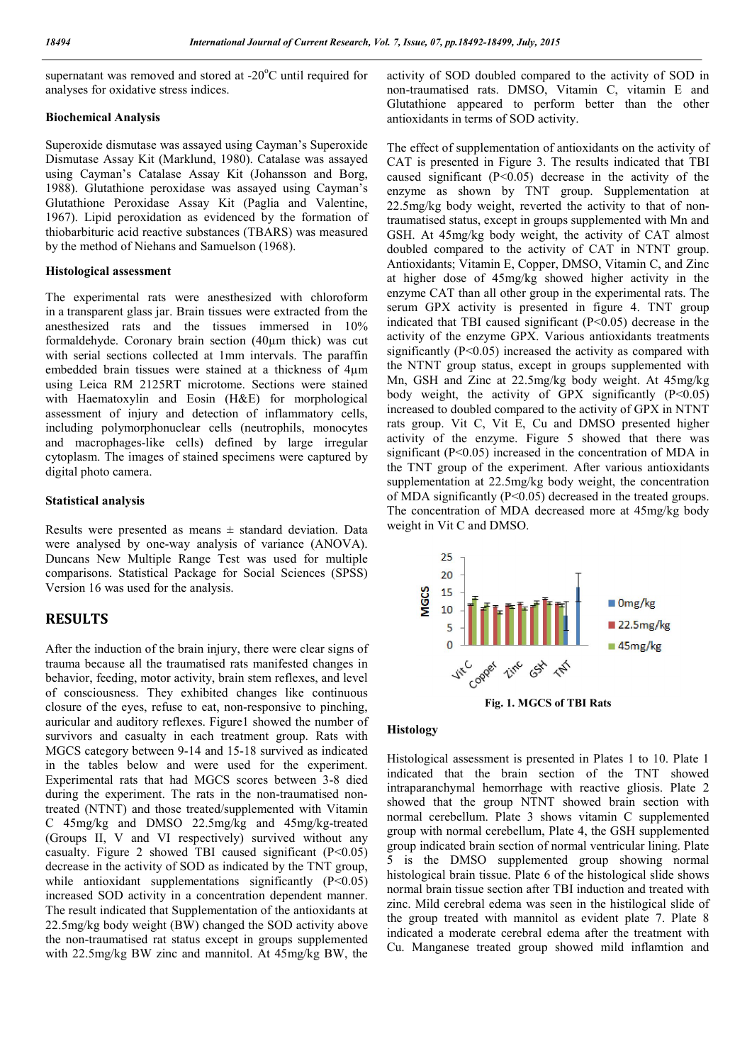supernatant was removed and stored at -20°C until required for analyses for oxidative stress indices.

## **Biochemical Analysis**

Superoxide dismutase was assayed using Cayman's Superoxide Dismutase Assay Kit (Marklund, 1980). Catalase was assayed using Cayman's Catalase Assay Kit (Johansson and Borg, 1988). Glutathione peroxidase was assayed using Cayman's Glutathione Peroxidase Assay Kit (Paglia and Valentine, 1967). Lipid peroxidation as evidenced by the formation of thiobarbituric acid reactive substances (TBARS) was measured by the method of Niehans and Samuelson (1968).

#### **Histological assessment**

The experimental rats were anesthesized with chloroform in a transparent glass jar. Brain tissues were extracted from the anesthesized rats and the tissues immersed in 10% formaldehyde. Coronary brain section (40µm thick) was cut with serial sections collected at 1mm intervals. The paraffin embedded brain tissues were stained at a thickness of 4µm using Leica RM 2125RT microtome. Sections were stained with Haematoxylin and Eosin (H&E) for morphological assessment of injury and detection of inflammatory cells, including polymorphonuclear cells (neutrophils, monocytes and macrophages-like cells) defined by large irregular cytoplasm. The images of stained specimens were captured by digital photo camera.

#### **Statistical analysis**

Results were presented as means  $\pm$  standard deviation. Data were analysed by one-way analysis of variance (ANOVA). Duncans New Multiple Range Test was used for multiple comparisons. Statistical Package for Social Sciences (SPSS) Version 16 was used for the analysis.

## **RESULTS**

After the induction of the brain injury, there were clear signs of trauma because all the traumatised rats manifested changes in behavior, feeding, motor activity, brain stem reflexes, and level of consciousness. They exhibited changes like continuous closure of the eyes, refuse to eat, non-responsive to pinching, auricular and auditory reflexes. Figure1 showed the number of survivors and casualty in each treatment group. Rats with MGCS category between 9-14 and 15-18 survived as indicated in the tables below and were used for the experiment. Experimental rats that had MGCS scores between 3-8 died during the experiment. The rats in the non-traumatised nontreated (NTNT) and those treated/supplemented with Vitamin C 45mg/kg and DMSO 22.5mg/kg and 45mg/kg-treated (Groups II, V and VI respectively) survived without any casualty. Figure 2 showed TBI caused significant  $(P<0.05)$ decrease in the activity of SOD as indicated by the TNT group, while antioxidant supplementations significantly (P<0.05) increased SOD activity in a concentration dependent manner. The result indicated that Supplementation of the antioxidants at 22.5mg/kg body weight (BW) changed the SOD activity above the non-traumatised rat status except in groups supplemented with 22.5mg/kg BW zinc and mannitol. At 45mg/kg BW, the

activity of SOD doubled compared to the activity of SOD in non-traumatised rats. DMSO, Vitamin C, vitamin E and Glutathione appeared to perform better than the other antioxidants in terms of SOD activity.

The effect of supplementation of antioxidants on the activity of CAT is presented in Figure 3. The results indicated that TBI caused significant (P<0.05) decrease in the activity of the enzyme as shown by TNT group. Supplementation at 22.5mg/kg body weight, reverted the activity to that of nontraumatised status, except in groups supplemented with Mn and GSH. At 45mg/kg body weight, the activity of CAT almost doubled compared to the activity of CAT in NTNT group. Antioxidants; Vitamin E, Copper, DMSO, Vitamin C, and Zinc at higher dose of 45mg/kg showed higher activity in the enzyme CAT than all other group in the experimental rats. The serum GPX activity is presented in figure 4. TNT group indicated that TBI caused significant (P<0.05) decrease in the activity of the enzyme GPX. Various antioxidants treatments significantly  $(P<0.05)$  increased the activity as compared with the NTNT group status, except in groups supplemented with Mn, GSH and Zinc at 22.5mg/kg body weight. At 45mg/kg body weight, the activity of GPX significantly  $(P<0.05)$ increased to doubled compared to the activity of GPX in NTNT rats group. Vit C, Vit E, Cu and DMSO presented higher activity of the enzyme. Figure 5 showed that there was significant (P<0.05) increased in the concentration of MDA in the TNT group of the experiment. After various antioxidants supplementation at 22.5mg/kg body weight, the concentration of MDA significantly (P<0.05) decreased in the treated groups. The concentration of MDA decreased more at 45mg/kg body weight in Vit C and DMSO.



**Fig. 1. MGCS of TBI Rats**

#### **Histology**

Histological assessment is presented in Plates 1 to 10. Plate 1 indicated that the brain section of the TNT showed intraparanchymal hemorrhage with reactive gliosis. Plate 2 showed that the group NTNT showed brain section with normal cerebellum. Plate 3 shows vitamin C supplemented group with normal cerebellum, Plate 4, the GSH supplemented group indicated brain section of normal ventricular lining. Plate 5 is the DMSO supplemented group showing normal histological brain tissue. Plate 6 of the histological slide shows normal brain tissue section after TBI induction and treated with zinc. Mild cerebral edema was seen in the histilogical slide of the group treated with mannitol as evident plate 7. Plate 8 indicated a moderate cerebral edema after the treatment with Cu. Manganese treated group showed mild inflamtion and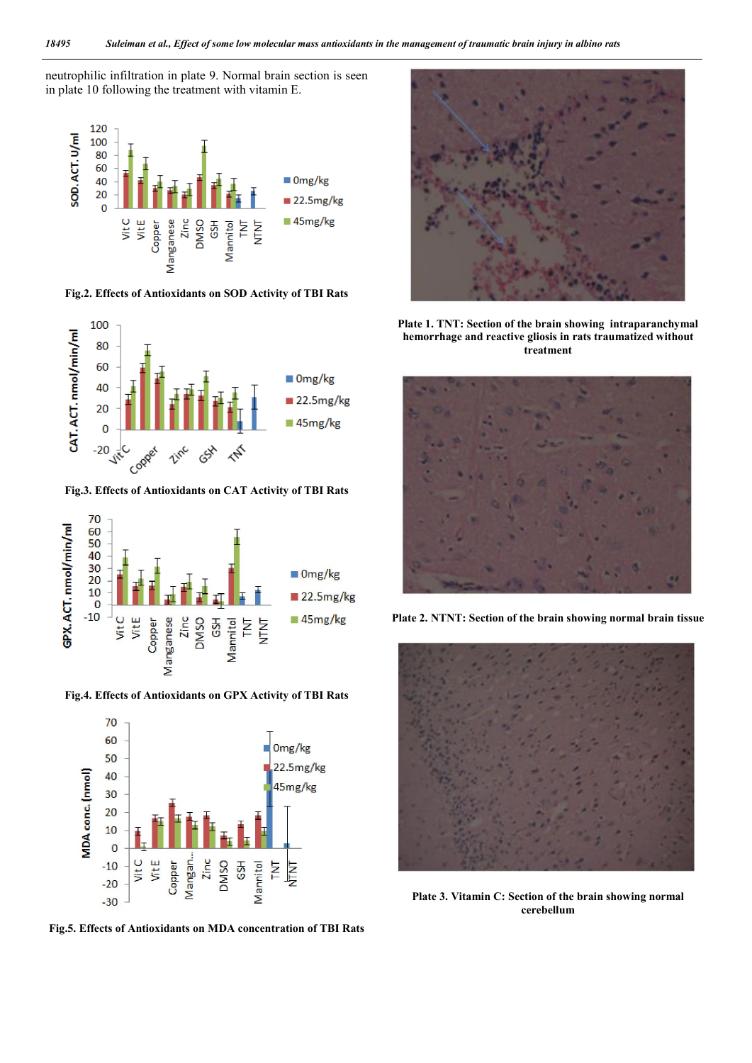neutrophilic infiltration in plate 9. Normal brain section is seen in plate 10 following the treatment with vitamin E.



**Fig.2. Effects of Antioxidants on SOD Activity of TBI Rats**



**Fig.3. Effects of Antioxidants on CAT Activity of TBI Rats**



**Fig.4. Effects of Antioxidants on GPX Activity of TBI Rats**



**Fig.5. Effects of Antioxidants on MDA concentration of TBI Rats**



**Plate 1. TNT: Section of the brain showing intraparanchymal hemorrhage and reactive gliosis in rats traumatized without treatment**



**Plate 2. NTNT: Section of the brain showing normal brain tissue**



**Plate 3. Vitamin C: Section of the brain showing normal cerebellum**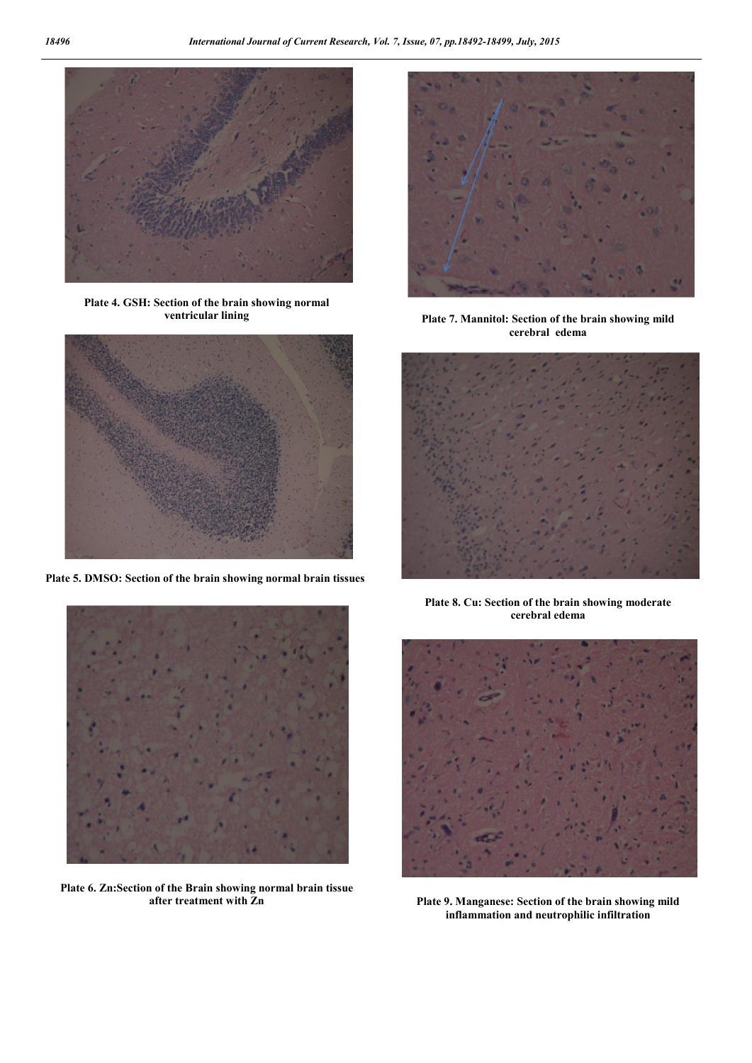

**Plate 4. GSH: Section of the brain showing normal ventricular lining**



**Plate 5. DMSO: Section of the brain showing normal brain tissues**



**Plate 6. Zn:Section of the Brain showing normal brain tissue after treatment with Zn**



**Plate 7. Mannitol: Section of the brain showing mild cerebral edema**



**Plate 8. Cu: Section of the brain showing moderate cerebral edema**



**Plate 9. Manganese: Section of the brain showing mild inflammation and neutrophilic infiltration**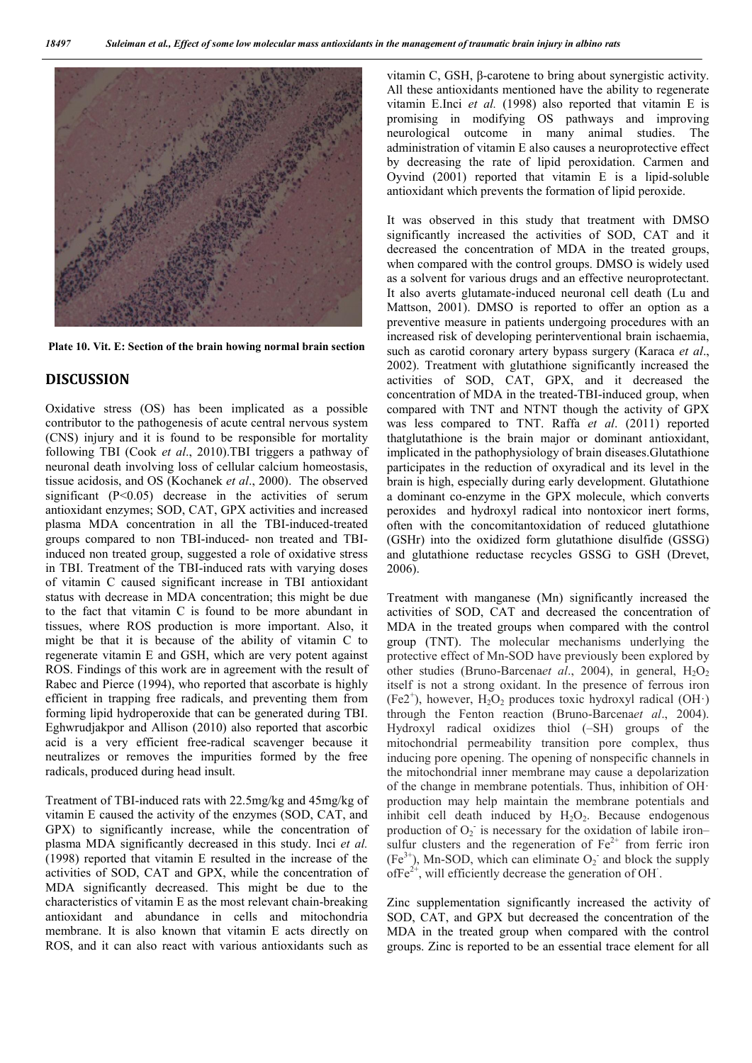

**Plate 10. Vit. E: Section of the brain howing normal brain section**

## **DISCUSSION**

Oxidative stress (OS) has been implicated as a possible contributor to the pathogenesis of acute central nervous system (CNS) injury and it is found to be responsible for mortality following TBI (Cook *et al*., 2010).TBI triggers a pathway of neuronal death involving loss of cellular calcium homeostasis, tissue acidosis, and OS (Kochanek *et al*., 2000). The observed significant  $(P<0.05)$  decrease in the activities of serum antioxidant enzymes; SOD, CAT, GPX activities and increased plasma MDA concentration in all the TBI-induced-treated groups compared to non TBI-induced- non treated and TBIinduced non treated group, suggested a role of oxidative stress in TBI. Treatment of the TBI-induced rats with varying doses of vitamin C caused significant increase in TBI antioxidant status with decrease in MDA concentration; this might be due to the fact that vitamin C is found to be more abundant in tissues, where ROS production is more important. Also, it might be that it is because of the ability of vitamin C to regenerate vitamin E and GSH, which are very potent against ROS. Findings of this work are in agreement with the result of Rabec and Pierce (1994), who reported that ascorbate is highly efficient in trapping free radicals, and preventing them from forming lipid hydroperoxide that can be generated during TBI. Eghwrudjakpor and Allison (2010) also reported that ascorbic acid is a very efficient free-radical scavenger because it neutralizes or removes the impurities formed by the free radicals, produced during head insult.

Treatment of TBI-induced rats with 22.5mg/kg and 45mg/kg of vitamin E caused the activity of the enzymes (SOD, CAT, and GPX) to significantly increase, while the concentration of plasma MDA significantly decreased in this study. Inci *et al.* (1998) reported that vitamin E resulted in the increase of the activities of SOD, CAT and GPX, while the concentration of MDA significantly decreased. This might be due to the characteristics of vitamin E as the most relevant chain-breaking antioxidant and abundance in cells and mitochondria membrane. It is also known that vitamin E acts directly on ROS, and it can also react with various antioxidants such as

vitamin C, GSH, β-carotene to bring about synergistic activity. All these antioxidants mentioned have the ability to regenerate vitamin E.Inci *et al.* (1998) also reported that vitamin E is promising in modifying OS pathways and improving neurological outcome in many animal studies. The administration of vitamin E also causes a neuroprotective effect by decreasing the rate of lipid peroxidation. Carmen and Oyvind (2001) reported that vitamin E is a lipid-soluble antioxidant which prevents the formation of lipid peroxide.

It was observed in this study that treatment with DMSO significantly increased the activities of SOD, CAT and it decreased the concentration of MDA in the treated groups, when compared with the control groups. DMSO is widely used as a solvent for various drugs and an effective neuroprotectant. It also averts glutamate-induced neuronal cell death (Lu and Mattson, 2001). DMSO is reported to offer an option as a preventive measure in patients undergoing procedures with an increased risk of developing perinterventional brain ischaemia, such as carotid coronary artery bypass surgery (Karaca *et al*., 2002). Treatment with glutathione significantly increased the activities of SOD, CAT, GPX, and it decreased the concentration of MDA in the treated-TBI-induced group, when compared with TNT and NTNT though the activity of GPX was less compared to TNT. Raffa *et al*. (2011) reported thatglutathione is the brain major or dominant antioxidant, implicated in the pathophysiology of brain diseases.Glutathione participates in the reduction of oxyradical and its level in the brain is high, especially during early development. Glutathione a dominant co-enzyme in the GPX molecule, which converts peroxides and hydroxyl radical into nontoxicor inert forms, often with the concomitantoxidation of reduced glutathione (GSHr) into the oxidized form glutathione disulfide (GSSG) and glutathione reductase recycles GSSG to GSH (Drevet, 2006).

Treatment with manganese (Mn) significantly increased the activities of SOD, CAT and decreased the concentration of MDA in the treated groups when compared with the control group (TNT). The molecular mechanisms underlying the protective effect of Mn-SOD have previously been explored by other studies (Bruno-Barcena*et al.*, 2004), in general,  $H_2O_2$ itself is not a strong oxidant. In the presence of ferrous iron (Fe2<sup>+</sup>), however,  $H_2O_2$  produces toxic hydroxyl radical (OH·) through the Fenton reaction (Bruno-Barcena*et al*., 2004). Hydroxyl radical oxidizes thiol (–SH) groups of the mitochondrial permeability transition pore complex, thus inducing pore opening. The opening of nonspecific channels in the mitochondrial inner membrane may cause a depolarization of the change in membrane potentials. Thus, inhibition of OH· production may help maintain the membrane potentials and inhibit cell death induced by  $H_2O_2$ . Because endogenous production of  $O_2$  is necessary for the oxidation of labile ironsulfur clusters and the regeneration of  $Fe<sup>2+</sup>$  from ferric iron  $(Fe<sup>3+</sup>)$ , Mn-SOD, which can eliminate  $O<sub>2</sub>$  and block the supply ofFe<sup>2+</sup>, will efficiently decrease the generation of OH<sup> $\cdot$ </sup>.

Zinc supplementation significantly increased the activity of SOD, CAT, and GPX but decreased the concentration of the MDA in the treated group when compared with the control groups. Zinc is reported to be an essential trace element for all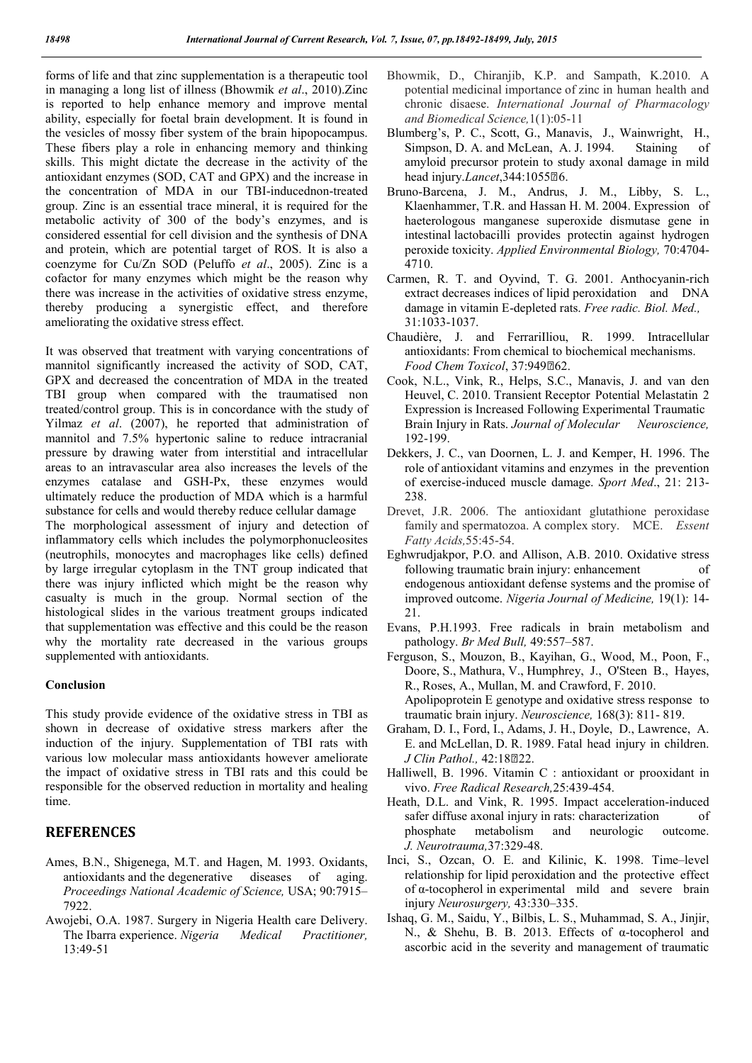forms of life and that zinc supplementation is a therapeutic tool in managing a long list of illness (Bhowmik *et al*., 2010).Zinc is reported to help enhance memory and improve mental ability, especially for foetal brain development. It is found in the vesicles of mossy fiber system of the brain hipopocampus. These fibers play a role in enhancing memory and thinking skills. This might dictate the decrease in the activity of the antioxidant enzymes (SOD, CAT and GPX) and the increase in the concentration of MDA in our TBI-inducednon-treated group. Zinc is an essential trace mineral, it is required for the metabolic activity of 300 of the body's enzymes, and is considered essential for cell division and the synthesis of DNA and protein, which are potential target of ROS. It is also a coenzyme for Cu/Zn SOD (Peluffo *et al*., 2005). Zinc is a cofactor for many enzymes which might be the reason why there was increase in the activities of oxidative stress enzyme, thereby producing a synergistic effect, and therefore ameliorating the oxidative stress effect.

It was observed that treatment with varying concentrations of mannitol significantly increased the activity of SOD, CAT, GPX and decreased the concentration of MDA in the treated TBI group when compared with the traumatised non treated/control group. This is in concordance with the study of Yilmaz *et al*. (2007), he reported that administration of mannitol and 7.5% hypertonic saline to reduce intracranial pressure by drawing water from interstitial and intracellular areas to an intravascular area also increases the levels of the enzymes catalase and GSH-Px, these enzymes would ultimately reduce the production of MDA which is a harmful substance for cells and would thereby reduce cellular damage The morphological assessment of injury and detection of inflammatory cells which includes the polymorphonucleosites (neutrophils, monocytes and macrophages like cells) defined by large irregular cytoplasm in the TNT group indicated that there was injury inflicted which might be the reason why

casualty is much in the group. Normal section of the histological slides in the various treatment groups indicated that supplementation was effective and this could be the reason why the mortality rate decreased in the various groups supplemented with antioxidants.

### **Conclusion**

This study provide evidence of the oxidative stress in TBI as shown in decrease of oxidative stress markers after the induction of the injury. Supplementation of TBI rats with various low molecular mass antioxidants however ameliorate the impact of oxidative stress in TBI rats and this could be responsible for the observed reduction in mortality and healing time.

## **REFERENCES**

- Ames, B.N., Shigenega, M.T. and Hagen, M. 1993. Oxidants, antioxidants and the degenerative diseases of aging. *Proceedings National Academic of Science,* USA; 90:7915– 7922.
- Awojebi, O.A. 1987. Surgery in Nigeria Health care Delivery. The Ibarra experience. *Nigeria Medical Practitioner,*  13:49-51
- Bhowmik, D., Chiranjib, K.P. and Sampath, K.2010. A potential medicinal importance of zinc in human health and chronic disaese. *International Journal of Pharmacology and Biomedical Science,*1(1):05-11
- Blumberg's, P. C., Scott, G., Manavis, J., Wainwright, H., Simpson, D. A. and McLean, A. J. 1994. Staining of amyloid precursor protein to study axonal damage in mild head injury.*Lancet*, 344: 1055<sup>[10]</sup>.
- Bruno-Barcena, J. M., Andrus, J. M., Libby, S. L., Klaenhammer, T.R. and Hassan H. M. 2004. Expression of haeterologous manganese superoxide dismutase gene in intestinal lactobacilli provides protectin against hydrogen peroxide toxicity. *Applied Environmental Biology,* 70:4704- 4710.
- Carmen, R. T. and Oyvind, T. G. 2001. Anthocyanin-rich extract decreases indices of lipid peroxidation and DNA damage in vitamin E-depleted rats. *Free radic. Biol. Med.,* 31:1033-1037.
- Chaudière, J. and FerrariIliou, R. 1999. Intracellular antioxidants: From chemical to biochemical mechanisms. *Food Chem Toxicol*, 37:949262.
- Cook, N.L., Vink, R., Helps, S.C., Manavis, J. and van den Heuvel, C. 2010. Transient Receptor Potential Melastatin 2 Expression is Increased Following Experimental Traumatic Brain Injury in Rats. *Journal of Molecular Neuroscience,* 192-199.
- Dekkers, J. C., van Doornen, L. J. and Kemper, H. 1996. The role of antioxidant vitamins and enzymes in the prevention of exercise-induced muscle damage. *Sport Med*., 21: 213- 238.
- Drevet, J.R. 2006. The antioxidant glutathione peroxidase family and spermatozoa. A complex story. MCE. *Essent Fatty Acids,*55:45-54.
- Eghwrudjakpor, P.O. and Allison, A.B. 2010. Oxidative stress following traumatic brain injury: enhancement of endogenous antioxidant defense systems and the promise of improved outcome. *Nigeria Journal of Medicine,* 19(1): 14- 21.
- Evans, P.H.1993. Free radicals in brain metabolism and pathology. *Br Med Bull,* 49:557–587.
- Ferguson, S., Mouzon, B., Kayihan, G., Wood, M., Poon, F., Doore, S., Mathura, V., Humphrey, J., O'Steen B., Hayes, R., Roses, A., Mullan, M. and Crawford, F. 2010. Apolipoprotein E genotype and oxidative stress response to traumatic brain injury. *Neuroscience,* 168(3): 811- 819.
- Graham, D. I., Ford, I., Adams, J. H., Doyle, D., Lawrence, A. E. and McLellan, D. R. 1989. Fatal head injury in children. *J Clin Pathol.,* 42:1822.
- Halliwell, B. 1996. Vitamin C : antioxidant or prooxidant in vivo. *Free Radical Research,*25:439-454.
- Heath, D.L. and Vink, R. 1995. Impact acceleration-induced safer diffuse axonal injury in rats: characterization of phosphate metabolism and neurologic outcome. *J. Neurotrauma,*37:329-48.
- Inci, S., Ozcan, O. E. and Kilinic, K. 1998. Time–level relationship for lipid peroxidation and the protective effect of α-tocopherol in experimental mild and severe brain injury *Neurosurgery,* 43:330–335.
- Ishaq, G. M., Saidu, Y., Bilbis, L. S., Muhammad, S. A., Jinjir, N., & Shehu, B. B. 2013. Effects of α-tocopherol and ascorbic acid in the severity and management of traumatic